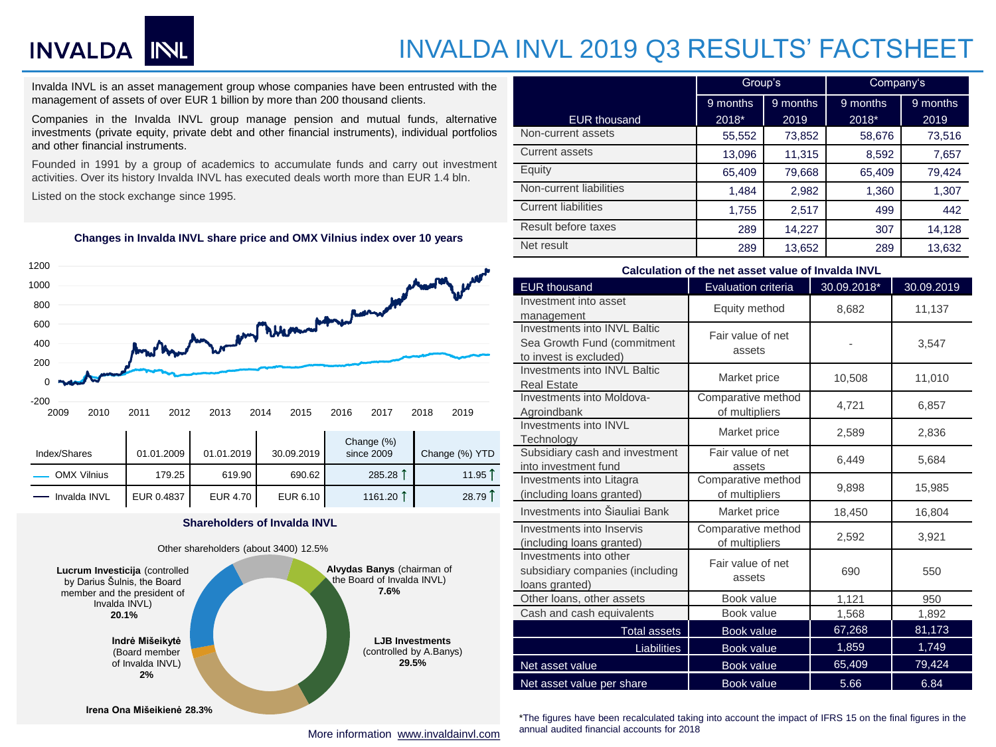# INVALDA INL

## INVALDA INVL 2019 Q3 RESULTS' FACTSHEET

Invalda INVL is an asset management group whose companies have been entrusted with the management of assets of over EUR 1 billion by more than 200 thousand clients.

Companies in the Invalda INVL group manage pension and mutual funds, alternative investments (private equity, private debt and other financial instruments), individual portfolios and other financial instruments.

Founded in 1991 by a group of academics to accumulate funds and carry out investment activities. Over its history Invalda INVL has executed deals worth more than EUR 1.4 bln.

Listed on the stock exchange since 1995.

#### **Changes in Invalda INVL share price and OMX Vilnius index over 10 years**



#### **Shareholders of Invalda INVL**



|                            | Group's              |        | Company's |          |  |
|----------------------------|----------------------|--------|-----------|----------|--|
|                            | 9 months<br>9 months |        | 9 months  | 9 months |  |
| <b>EUR thousand</b>        | 2018*                | 2019   | 2018*     | 2019     |  |
| Non-current assets         | 55,552               | 73,852 | 58,676    | 73,516   |  |
| Current assets             | 13,096               | 11,315 | 8,592     | 7,657    |  |
| Equity                     | 65,409               | 79,668 | 65,409    | 79,424   |  |
| Non-current liabilities    | 1,484                | 2,982  | 1,360     | 1,307    |  |
| <b>Current liabilities</b> | 1,755                | 2,517  | 499       | 442      |  |
| Result before taxes        | 289                  | 14,227 | 307       | 14,128   |  |
| Net result                 | 289                  | 13,652 | 289       | 13,632   |  |

#### **Calculation of the net asset value of Invalda INVL**

| <b>EUR thousand</b>                                                                   | <b>Evaluation criteria</b>           | 30.09.2018* | 30.09.2019 |
|---------------------------------------------------------------------------------------|--------------------------------------|-------------|------------|
| Investment into asset<br>management                                                   | Equity method                        | 8,682       | 11,137     |
| Investments into INVI Baltic<br>Sea Growth Fund (commitment<br>to invest is excluded) | Fair value of net<br>assets          |             | 3,547      |
| Investments into INVL Baltic<br><b>Real Estate</b>                                    | Market price                         | 10,508      | 11,010     |
| Investments into Moldova-<br>Agroindbank                                              | Comparative method<br>of multipliers | 4,721       | 6,857      |
| Investments into INVL<br>Technology                                                   | Market price                         | 2,589       | 2,836      |
| Subsidiary cash and investment<br>into investment fund                                | Fair value of net<br>assets          | 6,449       | 5,684      |
| Investments into Litagra<br>(including loans granted)                                 | Comparative method<br>of multipliers | 9.898       | 15,985     |
| Investments into Šiauliai Bank                                                        | Market price                         | 18,450      | 16,804     |
| Investments into Inservis<br>(including loans granted)                                | Comparative method<br>of multipliers | 2,592       | 3,921      |
| Investments into other<br>subsidiary companies (including<br>loans granted)           | Fair value of net<br>assets          | 690         | 550        |
| Other loans, other assets                                                             | Book value                           | 1,121       | 950        |
| Cash and cash equivalents                                                             | Book value                           | 1,568       | 1,892      |
| <b>Total assets</b>                                                                   | <b>Book value</b>                    | 67,268      | 81,173     |
| <b>Liabilities</b>                                                                    | <b>Book value</b>                    | 1,859       | 1,749      |
| Net asset value                                                                       | <b>Book value</b>                    | 65,409      | 79,424     |
| Net asset value per share                                                             | Book value                           | 5.66        | 6.84       |

\*The figures have been recalculated taking into account the impact of IFRS 15 on the final figures in the annual audited financial accounts for 2018

More information [www.invaldainvl.com](http://www.invaldainvl.com/)